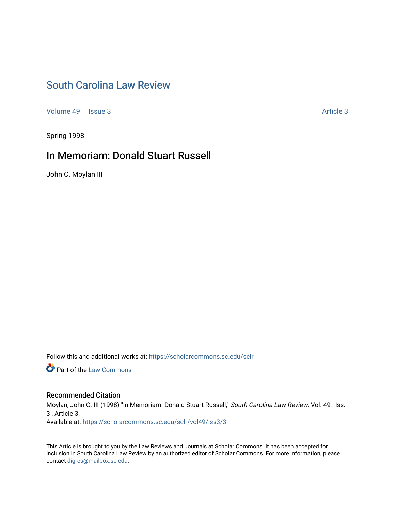## [South Carolina Law Review](https://scholarcommons.sc.edu/sclr)

[Volume 49](https://scholarcommons.sc.edu/sclr/vol49) | [Issue 3](https://scholarcommons.sc.edu/sclr/vol49/iss3) Article 3

Spring 1998

## In Memoriam: Donald Stuart Russell

John C. Moylan III

Follow this and additional works at: [https://scholarcommons.sc.edu/sclr](https://scholarcommons.sc.edu/sclr?utm_source=scholarcommons.sc.edu%2Fsclr%2Fvol49%2Fiss3%2F3&utm_medium=PDF&utm_campaign=PDFCoverPages)

**Part of the [Law Commons](http://network.bepress.com/hgg/discipline/578?utm_source=scholarcommons.sc.edu%2Fsclr%2Fvol49%2Fiss3%2F3&utm_medium=PDF&utm_campaign=PDFCoverPages)** 

### Recommended Citation

Moylan, John C. III (1998) "In Memoriam: Donald Stuart Russell," South Carolina Law Review: Vol. 49 : Iss. 3 , Article 3.

Available at: [https://scholarcommons.sc.edu/sclr/vol49/iss3/3](https://scholarcommons.sc.edu/sclr/vol49/iss3/3?utm_source=scholarcommons.sc.edu%2Fsclr%2Fvol49%2Fiss3%2F3&utm_medium=PDF&utm_campaign=PDFCoverPages)

This Article is brought to you by the Law Reviews and Journals at Scholar Commons. It has been accepted for inclusion in South Carolina Law Review by an authorized editor of Scholar Commons. For more information, please contact [digres@mailbox.sc.edu.](mailto:digres@mailbox.sc.edu)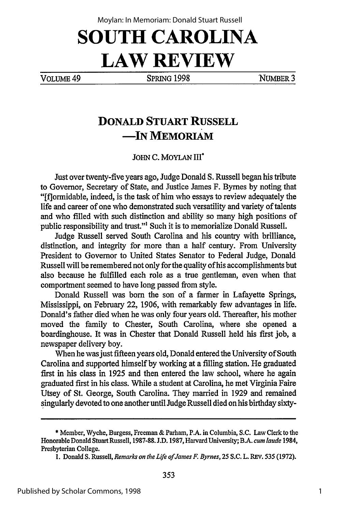# **SOUTH CAROLINA LAW REVIEW**

VOLUME 49 SPRING **1998** NUMBER3

## **DONALD STUART RUSSELL -IN MEMORIAM**

**JOHN C.** MOYLAN **III\***

Just over twenty-five years ago, Judge Donald **S.** Russell began his tribute to Governor, Secretary of State, and Justice James F. Byrnes by noting that "[flormidable, indeed, is the task of him who essays to review adequately the life and career of one who demonstrated such versatility and variety of talents and who filled with such distinction and ability so many high positions of public responsibility and trust."' Such it is to memorialize Donald Russell.

Judge Russell served South Carolina and his country with brilliance, distinction, and integrity for more than a half century. From University President to Governor to United States Senator to Federal Judge, Donald Russell will be remembered not only for the quality of his accomplishments but also because he fulfilled each role as a true gentleman, even when that comportment seemed to have long passed from style.

Donald Russell was born the son of a farmer in Lafayette Springs, Mississippi, on February 22, 1906, with remarkably few advantages in life. Donald's father died when he was only four years old. Thereafter, his mother moved the family to Chester, South Carolina, where she opened a boardinghouse. It was in Chester that Donald Russell held his first job, a newspaper delivery boy.

When he was just fifteen years old, Donald entered the University of South Carolina and supported himself by working at a filling station. He graduated first in his class in 1925 and then entered the law school, where he again graduated first in his class. While a student at Carolina, he met Virginia Faire Utsey of St. George, South Carolina. They married in 1929 and remained singularly devoted to one another until Judge Russell died on his birthday sixty-

**<sup>\*</sup>** Member, Wyche, Burgess, Freeman & Parham, P.A. in Columbia, S.C. Law Clerk to the Honorable Donald Stuart Russell, 1987-88. **J.D.** 1987, Harvard University; B.A. *cum laude* 1984, Presbyterian College.

<sup>1.</sup> Donald S. Russell, *Remarks on the Life ofJames F. Byrnes,* 25 S.C. L. REV. 535 (1972).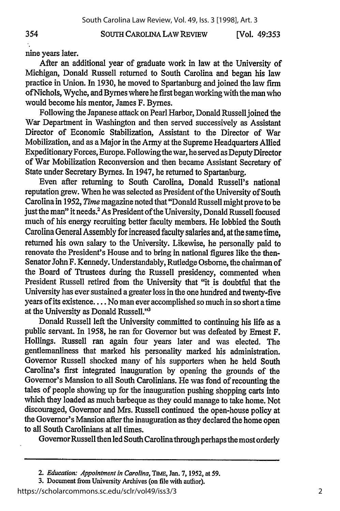SOUTH CAROLINA LAW REVIEW

**[Vol. 49:353**

354

nine years later.

After an additional year of graduate work in law at the University of Michigan, Donald Russell returned to South Carolina and began his law practice in Union. In **1930,** he moved to Spartanburg and joined the law firm ofNichols, Wyche, and Byrnes where he first began working with the man who would become his mentor, James F. Byrnes.

Following the Japanese attack on Pearl Harbor, Donald Russell joined the War Department in Washington and then served successively as Assistant Director of Economic Stabilization, Assistant to the Director of War Mobilization, and as a Major in the **Army** at the Supreme Headquarters Allied Expeditionary Forces, Europe. Following the war, he served as Deputy Director of War Mobilization Reconversion and then became Assistant Secretary of State under Secretary Byrnes. In 1947, he returned to Spartanburg.

Even after returning to South Carolina, Donald Russell's national reputation grew. When he was selected as President of the University of South Carolina in **1952,** *Time* magazine noted that "Donald Russell might prove to be just the man" it needs.<sup>2</sup> As President of the University, Donald Russell focused much of his energy recruiting better faculty members. He lobbied the South Carolina General Assembly for increased faculty salaries and, at the same time, returned his own salary to the University. Likewise, he personally paid to renovate the President's House and to bring in national figures like the then-Senator John F. Kennedy. Understandably, Rutledge Osborne, the chairman of the Board of Ttrustees during the Russell presidency, commented when President Russell retired from the University that "it is doubtful that the University has ever sustained a greater loss in the one hundred and twenty-five years of its existence .... No man ever accomplished so much in so short a time at the University as Donald Russell."<sup>3</sup>

Donald Russell left the University committed to continuing his life as a public servant. In **1958,** he ran for Governor but was defeated **by** Ernest F. Hollings. Russell ran again four years later and was elected. The gentlemanliness that marked his personality marked his administration. Governor Russell shocked many of his supporters when he held South Carolina's first integrated inauguration **by** opening the grounds of the Governor's Mansion to all South Carolinians. He was fond of recounting the tales of people showing up for the inauguration pushing shopping carts into which they loaded as much barbeque as they could manage to take home. Not discouraged, Governor and Mrs. Russell continued the open-house policy at the Governor's Mansion after the inauguration as they declared the home open to all South Carolinians at **all** times.

GovernorRussell then led South Carolinathrough perhaps the most orderly

**3.** Document **from** University Archives **(on file** with author).

https://scholarcommons.sc.edu/sclr/vol49/iss3/3

*<sup>2.</sup>* Education: *Appointment in Carolina,* **TIME Jan. 7, 1952, at 59.**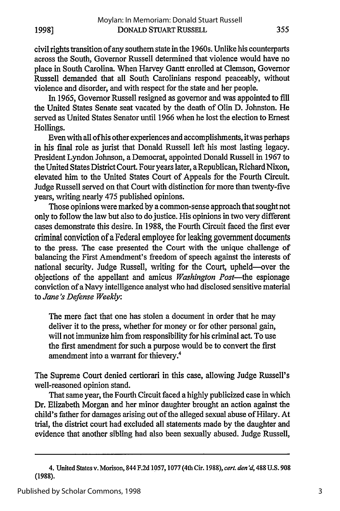civil rights transition of any southern state in the 1960s. Unlike his counterparts across the South, Governor Russell determined that violence would have no place in South Carolina. When Harvey Gantt enrolled at Clemson, Governor Russell demanded that all South Carolinians respond peaceably, without violence and disorder, and with respect for the state and her people.

In 1965, Governor Russell resigned as governor and was appointed to fill the United States Senate seat vacated by the death of Olin D. Johnston. He served as United States Senator until 1966 when he lost the election to Ernest Hollings.

Even with all of his other experiences and accomplishments, it was perhaps in his final role as jurist that Donald Russell left his most lasting legacy. President Lyndon Johnson, a Democrat, appointed Donald Russell in 1967 to the United States District Court. Four years later, a Republican, Richard Nixon, elevated him to the United States Court of Appeals for the Fourth Circuit. Judge Russell served on that Court with distinction for more than twenty-five years, writing nearly 475 published opinions.

Those opinions were marked by a common-sense approach that sought not only to follow the law but also to do justice. His opinions in two very different cases demonstrate this desire. In 1988, the Fourth Circuit faced the first ever criminal conviction of a Federal employee for leaking government documents to the press. The case presented the Court with the unique challenge of balancing the First Amendment's freedom of speech against the interests of national security. Judge Russell, writing for the Court, upheld-over the objections of the appellant and amicus *Washington Post-the* espionage conviction of a Navy intelligence analyst who had disclosed sensitive material to *Jane's Defense Weekly:*

The mere fact that one has stolen a document in order that he may deliver it to the press, whether for money or for other personal gain, will not immunize him from responsibility for his criminal act. To use the first amendment for such a purpose would be to convert the first amendment into a warrant for thievery.<sup>4</sup>

The Supreme Court denied certiorari in this case, allowing Judge Russell's well-reasoned opinion stand.

That same year, the Fourth Circuit faced a highly publicized case in which Dr. Elizabeth Morgan and her minor daughter brought an action against the child's father for damages arising out of the alleged sexual abuse of Hilary. At trial, the district court had excluded all statements made by the daughter and evidence that another sibling had also been sexually abused. Judge Russell,

<sup>4.</sup> United States v. Morison, 844 F.2d 1057,1077 (4th Cir. 1988), *cert. den'd,* 488 U.S. 908 (1988).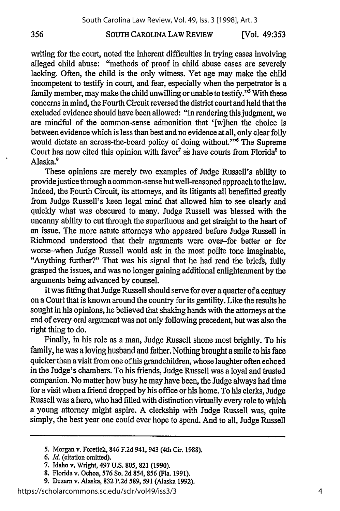#### SOUTH CAROLINA LAW REVIEW

**[Vol. 49:353**

writing for the court, noted the inherent difficulties in trying cases involving alleged child abuse: "methods of proof in child abuse cases are severely lacking. Often, the child is the only witness. Yet age may make the child incompetent to testify in court, and fear, especially when the perpetrator is a family member, may make the child unwilling or unable to testify."5 With these concerns in mind, the Fourth Circuit reversed the district court and held that the excluded evidence should have been allowed: "In rendering this judgment, we are mindful of the common-sense admonition that '[w]hen the choice is between evidence which is less than best and no evidence at all, only clear folly would dictate an across-the-board policy of doing without."<sup>6</sup> The Supreme Court has now cited this opinion with favor<sup>7</sup> as have courts from Florida<sup>8</sup> to Alaska.9

These opinions are merely two examples of Judge Russell's ability to provide justice through a common-sense but well-reasoned approach to the law. Indeed, the Fourth Circuit, its attorneys, and its litigants all benefitted greatly from Judge Russell's keen legal mind that allowed him to see clearly and quickly what was obscured to many. Judge Russell was blessed with the uncanny ability to cut through the superfluous and get straight to the heart of an issue. The more astute attorneys who appeared before Judge Russell in Richmond understood that their arguments were over-for better or for worse-when Judge Russell would ask in the most polite tone imaginable, "Anything further?" That was his signal that he had read the briefs, fully grasped the issues, and was no longer gaining additional enlightenment by the arguments being advanced by counsel.

It was fitting that Judge Russell should serve for over a quarter of a century on a Court that is known around the country for its gentility. Like the results he sought in his opinions, he believed that shaking hands with the attorneys at the end of every oral argument was not only following precedent, but was also the right thing to do.

Finally, in his role as a man, Judge Russell shone most brightly. To his family, he was a loving husband and father. Nothing brought a smile to his face quicker than a visit from one of his grandchildren, whose laughter often echoed in the Judge's chambers. To his friends, Judge Russell was a loyal and trusted companion. No matter how busy he may have been, the Judge always had time for a visit when a friend dropped by his office or his home. To his clerks, Judge Russell was a hero, who had filled with distinction virtually every role to which a young attorney might aspire. A clerkship with Judge Russell was, quite simply, the best year one could ever hope to spend. And to all, Judge Russell

356

**<sup>5.</sup>** Morgan v. Foretich, 846 **F.2d** 941, 943 (4th Cir. **1988).**

*<sup>6.</sup> Id.* (citation omitted).

**<sup>7.</sup>** Idaho v. Wright, 497 **U.S. 805, 821 (1990).**

**<sup>8.</sup>** Florida v. Ochoa, **576** So. **2d** 854, 856 (Fla. **1991).**

**<sup>9.</sup>** Dezam v. Alaska, **832 P.2d** 589, **591** (Alaska **1992).**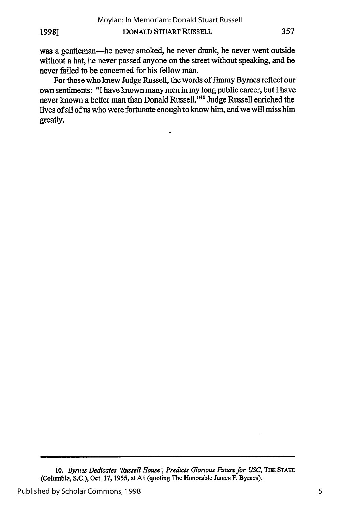**19981**

was a gentleman-he never smoked, he never drank, he never went outside without a hat, he never passed anyone on the street without speaking, and he never failed to be concerned for his fellow man.

For those who knew Judge Russell, the words of Jimmy Bymes reflect our own sentiments: "I have known many men in my long public career, but I have never known a better man than Donald Russell."<sup>10</sup> Judge Russell enriched the lives of all of us who were fortunate enough to know him, and we will miss him greatly.

**10.** *Byrnes Dedicates 'Russell House, Predicts Glorious Future for USC,* **THE STATE** (Columbia, **S.C.),** Oct. **17, 1955, atAl** (quoting The Honorable James F. Bymes).